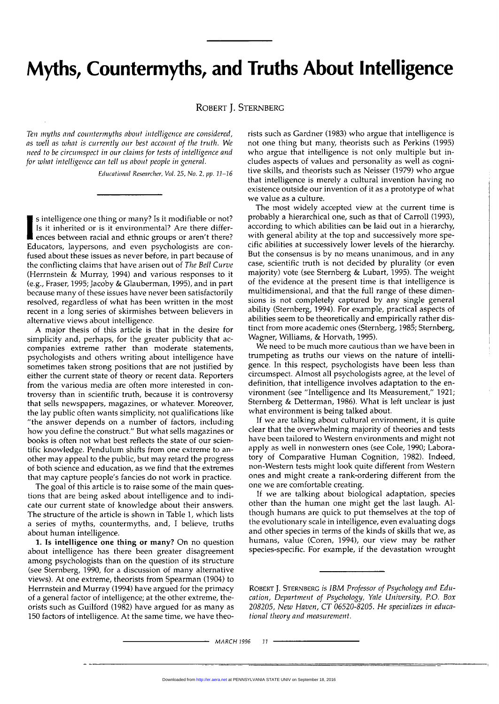# **Myths, Countermyths, and Truths About Intelligence**

## ROBERT J. STERNBERG

*Ten myths and countermyths about intelligence are considered, as well as what is currently our best account of the truth. We need to be circumspect in our claims for tests of intelligence and for what intelligence can tell us about people in general.* 

*Educational Researcher, Vol. 25, No. 2, pp. 11-16* 

Is it inherited or is it environmental? Are there differences between racial and ethnic groups or aren't there? s intelligence one thing or many? Is it modifiable or not? Is it inherited or is it environmental? Are there differ-Educators, laypersons, and even psychologists are confused about these issues as never before, in part because of the conflicting claims that have arisen out of *The Bell Curve*  (Herrnstein & Murray, 1994) and various responses to it (e.g., Fraser, 1995; Jacoby & Glauberman, 1995), and in part because many of these issues have never been satisfactorily resolved, regardless of what has been written in the most recent in a long series of skirmishes between believers in alternative views about intelligence.

A major thesis of this article is that in the desire for simplicity and, perhaps, for the greater publicity that accompanies extreme rather than moderate statements, psychologists and others writing about intelligence have sometimes taken strong positions that are not justified by either the current state of theory or recent data. Reporters from the various media are often more interested in controversy than in scientific truth, because it is controversy that sells newspapers, magazines, or whatever. Moreover, the lay public often wants simplicity, not qualifications like "the answer depends on a number of factors, including how you define the construct." But what sells magazines or books is often not what best reflects the state of our scientific knowledge. Pendulum shifts from one extreme to another may appeal to the public, but may retard the progress of both science and education, as we find that the extremes that may capture people's fancies do not work in practice.

The goal of this article is to raise some of the main questions that are being asked about intelligence and to indicate our current state of knowledge about their answers. The structure of the article is shown in Table 1, which lists a series of myths, countermyths, and, I believe, truths about human intelligence.

**1. Is intelligence one thing or many?** On no question about intelligence has there been greater disagreement among psychologists than on the question of its structure (see Sternberg, 1990, for a discussion of many alternative views). At one extreme, theorists from Spearman (1904) to Herrnstein and Murray (1994) have argued for the primacy of a general factor of intelligence; at the other extreme, theorists such as Guilford (1982) have argued for as many as 150 factors of intelligence. At the same time, we have theorists such as Gardner (1983) who argue that intelligence is not one thing but many, theorists such as Perkins (1995) who argue that intelligence is not only multiple but includes aspects of values and personality as well as cognitive skills, and theorists such as Neisser (1979) who argue that intelligence is merely a cultural invention having no existence outside our invention of it as a prototype of what we value as a culture.

The most widely accepted view at the current time is probably a hierarchical one, such as that of Carroll (1993), according to which abilities can be laid out in a hierarchy, with general ability at the top and successively more specific abilities at successively lower levels of the hierarchy. But the consensus is by no means unanimous, and in any case, scientific truth is not decided by plurality (or even majority) vote (see Sternberg & Lubart, 1995). The weight of the evidence at the present time is that intelligence is multidimensional, and that the full range of these dimensions is not completely captured by any single general ability (Sternberg, 1994). For example, practical aspects of abilities seem to be theoretically and empirically rather distinct from more academic ones (Sternberg, 1985; Sternberg, Wagner, Williams, & Horvath, 1995).

We need to be much more cautious than we have been in trumpeting as truths our views on the nature of intelligence. In this respect, psychologists have been less than circumspect. Almost all psychologists agree, at the level of definition, that intelligence involves adaptation to the environment (see "Intelligence and Its Measurement," 1921; Sternberg & Detterman, 1986). What is left unclear is just what environment is being talked about.

If we are talking about cultural environment, it is quite clear that the overwhelming majority of theories and tests have been tailored to Western environments and might not apply as well in nonwestern ones (see Cole, 1990; Laboratory of Comparative Human Cognition, 1982). Indeed, non-Western tests might look quite different from Western ones and might create a rank-ordering different from the one we are comfortable creating.

If we are talking about biological adaptation, species other than the human one might get the last laugh. Although humans are quick to put themselves at the top of the evolutionary scale in intelligence, even evaluating dogs and other species in terms of the kinds of skills that we, as humans, value (Coren, 1994), our view may be rather species-specific. For example, if the devastation wrought

ROBERT J. STERNBERG IS *IBM Professor of Psychology and Education, Department of Psychology, Yale University, P.O. Box 208205, New Haven, CT 06520-8205. He specializes in educational theory and measurement.* 

*MARCH 1996* 17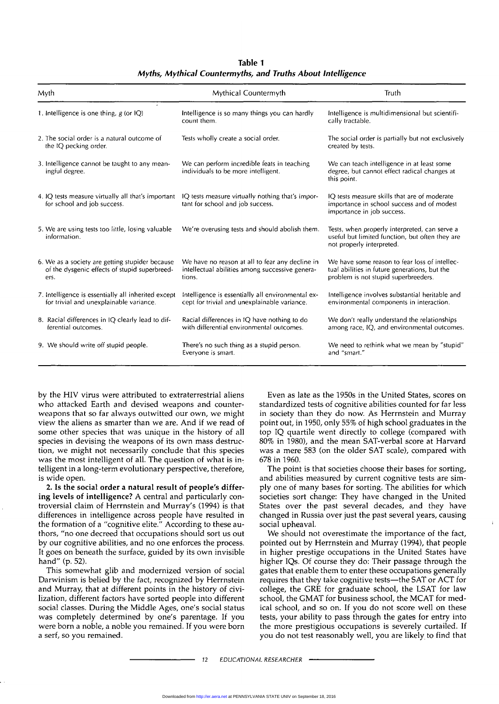| Myth                                                                                                     | Mythical Countermyth                                                                                         | Truth                                                                                                                                  |
|----------------------------------------------------------------------------------------------------------|--------------------------------------------------------------------------------------------------------------|----------------------------------------------------------------------------------------------------------------------------------------|
| 1. Intelligence is one thing, $g$ (or IQ)                                                                | Intelligence is so many things you can hardly<br>count them.                                                 | Intelligence is multidimensional but scientifi-<br>cally tractable.                                                                    |
| 2. The social order is a natural outcome of<br>the IQ pecking order                                      | Tests wholly create a social order.                                                                          | The social order is partially but not exclusively<br>created by tests.                                                                 |
| 3. Intelligence cannot be taught to any mean-<br>ingful degree.                                          | We can perform incredible feats in teaching<br>individuals to be more intelligent.                           | We can teach intelligence in at least some<br>degree, but cannot effect radical changes at<br>this point.                              |
| 4. IQ tests measure virtually all that's important<br>for school and job success.                        | IQ tests measure virtually nothing that's impor-<br>tant for school and job success.                         | IQ tests measure skills that are of moderate<br>importance in school success and of modest<br>importance in job success.               |
| 5. We are using tests too little, losing valuable<br>information.                                        | We're overusing tests and should abolish them.                                                               | Tests, when properly interpreted, can serve a<br>useful but limited function, but often they are<br>not properly interpreted.          |
| 6. We as a society are getting stupider because<br>of the dysgenic effects of stupid superbreed-<br>ers. | We have no reason at all to fear any decline in<br>intellectual abilities among successive genera-<br>tions. | We have some reason to fear loss of intellec-<br>tual abilities in future generations, but the<br>problem is not stupid superbreeders. |
| 7. Intelligence is essentially all inherited except<br>for trivial and unexplainable variance.           | Intelligence is essentially all environmental ex-<br>cept for trivial and unexplainable variance.            | Intelligence involves substantial heritable and<br>environmental components in interaction.                                            |
| 8. Racial differences in IQ clearly lead to dif-<br>ferential outcomes.                                  | Racial differences in IQ have nothing to do<br>with differential environmental outcomes.                     | We don't really understand the relationships<br>among race, IQ, and environmental outcomes.                                            |
| 9. We should write off stupid people.                                                                    | There's no such thing as a stupid person.<br>Everyone is smart.                                              | We need to rethink what we mean by "stupid"<br>and "smart."                                                                            |
|                                                                                                          |                                                                                                              |                                                                                                                                        |

Table 1 Myths, Mythical Countermyths, and Truths About Intelligence

by the HIV virus were attributed to extraterrestrial aliens who attacked Earth and devised weapons and counterweapons that so far always outwitted our own, we might view the aliens as smarter than we are. And if we read of some other species that was unique in the history of all species in devising the weapons of its own mass destruction, we might not necessarily conclude that this species was the most intelligent of all. The question of what is intelligent in a long-term evolutionary perspective, therefore, is wide open.

**2. Is the social order a natural result of people's differing levels of intelligence?** A central and particularly controversial claim of Herrnstein and Murray's (1994) is that differences in intelligence across people have resulted in the formation of a "cognitive elite." According to these authors, "no one decreed that occupations should sort us out by our cognitive abilities, and no one enforces the process. It goes on beneath the surface, guided by its own invisible hand" (p. 52).

This somewhat glib and modernized version of social Darwinism is belied by the fact, recognized by Herrnstein and Murray, that at different points in the history of civilization, different factors have sorted people into different social classes. During the Middle Ages, one's social status was completely determined by one's parentage. If you were born a noble, a noble you remained. If you were born a serf, so you remained.

Even as late as the 1950s in the United States, scores on standardized tests of cognitive abilities counted for far less in society than they do now. As Herrnstein and Murray point out, in 1950, only 55% of high school graduates in the top IQ quartile went directly to college (compared with 80% in 1980), and the mean SAT-verbal score at Harvard was a mere 583 (on the older SAT scale), compared with 678 in 1960.

The point is that societies choose their bases for sorting, and abilities measured by current cognitive tests are simply one of many bases for sorting. The abilities for which societies sort change: They have changed in the United States over the past several decades, and they have changed in Russia over just the past several years, causing social upheaval.

We should not overestimate the importance of the fact, pointed out by Herrnstein and Murray (1994), that people in higher prestige occupations in the United States have higher IQs. Of course they do: Their passage through the gates that enable them to enter these occupations generally requires that they take cognitive tests—the SAT or ACT for college, the GRE for graduate school, the LSAT for law school, the GMAT for business school, the MCAT for medical school, and so on. If you do not score well on these tests, your ability to pass through the gates for entry into the more prestigious occupations is severely curtailed. If you do not test reasonably well, you are likely to find that

12 EDUCATIONAL RESEARCHER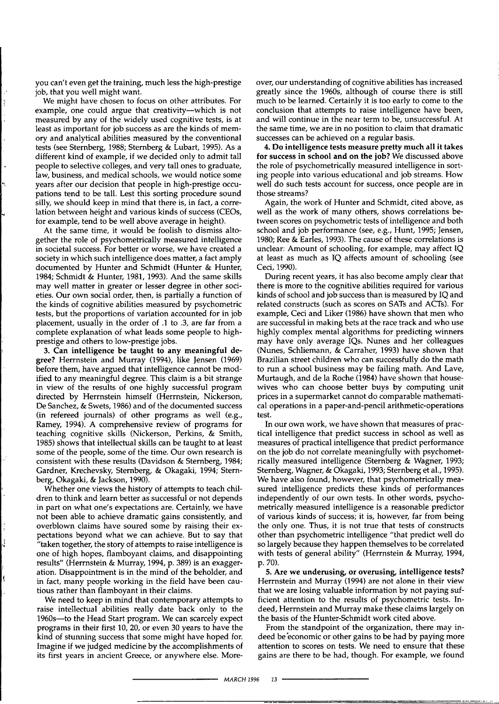you can't even get the training, much less the high-prestige job, that you well might want.

We might have chosen to focus on other attributes. For example, one could argue that creativity—which is not measured by any of the widely used cognitive tests, is at least as important for job success as are the kinds of memory and analytical abilities measured by the conventional tests (see Sternberg, 1988; Sternberg & Lubart, 1995). As a different kind of example, if we decided only to admit tall people to selective colleges, and very tall ones to graduate, law, business, and medical schools, we would notice some years after our decision that people in high-prestige occupations tend to be tall. Lest this sorting procedure sound silly, we should keep in mind that there is, in fact, a correlation between height and various kinds of success (CEOs, for example, tend to be well above average in height).

At the same time, it would be foolish to dismiss altogether the role of psychometrically measured intelligence in societal success. For better or worse, we have created a society in which such intelligence does matter, a fact amply documented by Hunter and Schmidt (Hunter & Hunter, 1984; Schmidt & Hunter, 1981, 1993). And the same skills may well matter in greater or lesser degree in other societies. Our own social order, then, is partially a function of the kinds of cognitive abilities measured by psychometric tests, but the proportions of variation accounted for in job placement, usually in the order of .1 to .3, are far from a complete explanation of what leads some people to highprestige and others to low-prestige jobs.

**3. Can intelligence be taught to any meaningful degree?** Herrnstein and Murray (1994), like Jensen (1969) before them, have argued that intelligence cannot be modified to any meaningful degree. This claim is a bit strange in view of the results of one highly successful program directed by Herrnstein himself (Herrnstein, Nickerson, De Sanchez, & Swets, 1986) and of the documented success (in refereed journals) of other programs as well (e.g., Ramey, 1994). A comprehensive review of programs for teaching cognitive skills (Nickerson, Perkins, & Smith, 1985) shows that intellectual skills can be taught to at least some of the people, some of the time. Our own research is consistent with these results (Davidson & Sternberg, 1984; Gardner, Krechevsky, Sternberg, & Okagaki, 1994; Sternberg, Okagaki, & Jackson, 1990).

Whether one views the history of attempts to teach children to think and learn better as successful or not depends in part on what one's expectations are. Certainly, we have not been able to achieve dramatic gains consistently, and overblown claims have soured some by raising their expectations beyond what we can achieve. But to say that "taken together, the story of attempts to raise intelligence is one of high hopes, flamboyant claims, and disappointing results" (Herrnstein & Murray, 1994, p. 389) is an exaggeration. Disappointment is in the mind of the beholder, and in fact, many people working in the field have been cautious rather than flamboyant in their claims.

We need to keep in mind that contemporary attempts to raise intellectual abilities really date back only to the 1960s—to the Head Start program. We can scarcely expect programs in their first 10, 20, or even 30 years to have the kind of stunning success that some might have hoped for. Imagine if we judged medicine by the accomplishments of its first years in ancient Greece, or anywhere else. Moreover, our understanding of cognitive abilities has increased greatly since the 1960s, although of course there is still much to be learned. Certainly it is too early to come to the conclusion that attempts to raise intelligence have been, and will continue in the near term to be, unsuccessful. At the same time, we are in no position to claim that dramatic successes can be achieved on a regular basis.

**4. Do intelligence tests measure pretty much all it takes for success in school and on the job?** We discussed above the role of psychometrically measured intelligence in sorting people into various educational and job streams. How well do such tests account for success, once people are in those streams?

Again, the work of Hunter and Schmidt, cited above, as well as the work of many others, shows correlations between scores on psychometric tests of intelligence and both school and job performance (see, e.g., Hunt, 1995; Jensen, 1980; Ree & Earles, 1993). The cause of these correlations is unclear: Amount of schooling, for example, may affect IQ at least as much as IQ affects amount of schooling (see Ceci, 1990).

During recent years, it has also become amply clear that there is more to the cognitive abilities required for various kinds of school and job success than is measured by IQ and related constructs (such as scores on SATs and ACTs). For example, Ceci and Liker (1986) have shown that men who are successful in making bets at the race track and who use highly complex mental algorithms for predicting winners may have only average IQs. Nunes and her colleagues (Nunes, Schliemann, & Carraher, 1993) have shown that Brazilian street children who can successfully do the math to run a school business may be failing math. And Lave, Murtaugh, and de la Roche (1984) have shown that housewives who can choose better buys by computing unit prices in a supermarket cannot do comparable mathematical operations in a paper-and-pencil arithmetic-operations test.

In our own work, we have shown that measures of practical intelligence that predict success in school as well as measures of practical intelligence that predict performance on the job do not correlate meaningfully with psychometrically measured intelligence (Sternberg & Wagner, 1993; Sternberg, Wagner, & Okagaki, 1993; Sternberg et al., 1995). We have also found, however, that psychometrically measured intelligence predicts these kinds of performances independently of our own tests. In other words, psychometrically measured intelligence is a reasonable predictor of various kinds of success; it is, however, far from being the only one. Thus, it is not true that tests of constructs other than psychometric intelligence "that predict well do so largely because they happen themselves to be correlated with tests of general ability" (Herrnstein & Murray, 1994, **p.** 70).

**5. Are we underusing, or overusing, intelligence tests?**  Herrnstein and Murray (1994) are not alone in their view that we are losing valuable information by not paying sufficient attention to the results of psychometric tests. Indeed, Herrnstein and Murray make these claims largely on the basis of the Hunter-Schmidt work cited above.

From the standpoint of the organization, there may indeed be economic or other gains to be had by paying more attention to scores on tests. We need to ensure that these gains are there to be had, though. For example, we found

73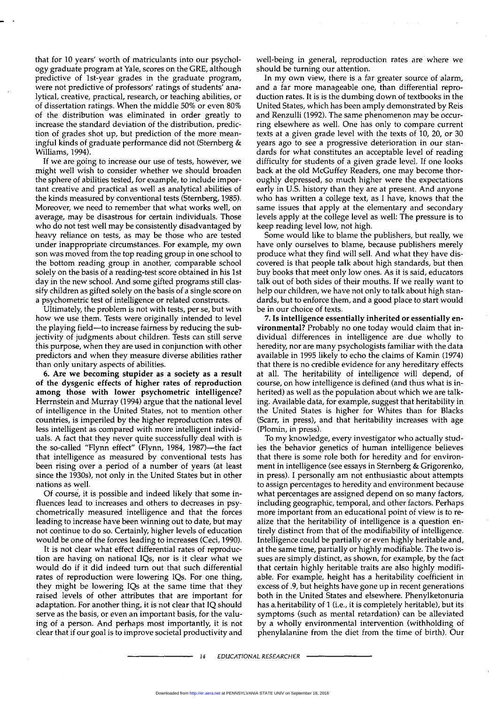that for 10 years' worth of matriculants into our psychology graduate program at Yale, scores on the GRE, although predictive of lst-year grades in the graduate program, were not predictive of professors' ratings of students' analytical, creative, practical, research, or teaching abilities, or of dissertation ratings. When the middle 50% or even 80% of the distribution was eliminated in order greatly to increase the standard deviation of the distribution, prediction of grades shot up, but prediction of the more meaningful kinds of graduate performance did not (Sternberg & Williams, 1994).

If we are going to increase our use of tests, however, we might well wish to consider whether we should broaden the sphere of abilities tested, for example, to include important creative and practical as well as analytical abilities of the kinds measured by conventional tests (Sternberg, 1985). Moreover, we need to remember that what works well, on average, may be disastrous for certain individuals. Those who do not test well may be consistently disadvantaged by heavy reliance on tests, as may be those who are tested under inappropriate circumstances. For example, my own son was moved from the top reading group in one school to the bottom reading group in another, comparable school solely on the basis of a reading-test score obtained in his 1st day in the new school. And some gifted programs still classify children as gifted solely on the basis of a single score on a psychometric test of intelligence or related constructs.

Ultimately, the problem is not with tests, per se, but with how we use them. Tests were originally intended to level the playing field—to increase fairness by reducing the subjectivity of judgments about children. Tests can still serve this purpose, when they are used in conjunction with other predictors and when they measure diverse abilities rather than only unitary aspects of abilities.

**6. Are we becoming stupider as a society as a result of the dysgenic effects of higher rates of reproduction among those with lower psychometric intelligence?**  Herrnstein and Murray (1994) argue that the national level of intelligence in the United States, not to mention other countries, is imperiled by the higher reproduction rates of less intelligent as compared with more intelligent individuals. A fact that they never quite successfully deal with is the so-called "Flynn effect" (Flynn, 1984, 1987)—the fact that intelligence as measured by conventional tests has been rising over a period of a number of years (at least since the 1930s), not only in the United States but in other nations as well.

Of course, it is possible and indeed likely that some influences lead to increases and others to decreases in psychometrically measured intelligence and that the forces leading to increase have been winning out to date, but may not continue to do so. Certainly, higher levels of education would be one of the forces leading to increases (Ceci, 1990).

It is not clear what effect differential rates of reproduction are having on national IQs, nor is it clear what we would do if it did indeed turn out that such differential rates of reproduction were lowering IQs. For one thing, they might be lowering IQs at the same time that they raised levels of other attributes that are important for adaptation. For another thing, it is not clear that IQ should serve as the basis, or even an important basis, for the valuing of a person. And perhaps most importantly, it is not clear that if our goal is to improve societal productivity and well-being in general, reproduction rates are where we should be turning our attention.

In my own view, there is a far greater source of alarm, and a far more manageable one, than differential reproduction rates. It is is the dumbing down of textbooks in the United States, which has been amply demonstrated by Reis and Renzulli (1992). The same phenomenon may be occurring elsewhere as well. One has only to compare current texts at a given grade level with the texts of 10, 20, or 30 years ago to see a progressive deterioration in our standards for what constitutes an acceptable level of reading difficulty for students of a given grade level. If one looks back at the old McGuffey Readers, one may become thoroughly depressed, so much higher were the expectations early in U.S. history than they are at present. And anyone who has written a college text, as I have, knows that the same issues that apply at the elementary and secondary levels apply at the college level as well: The pressure is to keep reading level low, not high.

Some would like to blame the publishers, but really, we have only ourselves to blame, because publishers merely produce what they find will sell. And what they have discovered is that people talk about high standards, but then buy books that meet only low ones. As it is said, educators talk out of both sides of their mouths. If we really want to help our children, we have not only to talk about high standards, but to enforce them, and a good place to start would be in our choice of texts.

7. **Is intelligence essentially inherited or essentially environmental?** Probably no one today would claim that individual differences in intelligence are due wholly to heredity, nor are many psychologists familiar with the data available in 1995 likely to echo the claims of Kamin (1974) that there is no credible evidence for any hereditary effects at all. The heritability of intelligence will depend, of course, on how intelligence is defined (and thus what is inherited) as well as the population about which we are talking. Available data, for example, suggest that heritability in the United States is higher for Whites than for Blacks (Scarr, in press), and that heritability increases with age (Plomin, in press).

To my knowledge, every investigator who actually studies the behavior genetics of human intelligence believes that there is some role both for heredity and for environment in intelligence (see essays in Sternberg & Grigorenko, in press). I personally am not enthusiastic about attempts to assign percentages to heredity and environment because what percentages are assigned depend on so many factors, including geographic, temporal, and other factors. Perhaps more important from an educational point of view is to realize that the heritability of intelligence is a question entirely distinct from that of the modifiability of intelligence. Intelligence could be partially or even highly heritable and, at the same time, partially or highly modifiable. The two issues are simply distinct, as shown, for example, by the fact that certain highly heritable traits are also highly modifiable. For example, height has a heritability coefficient in excess of .9, but heights have gone up in recent generations both in the United States and elsewhere. Phenylketonuria has a, heritability of 1 (i.e., it is completely heritable), but its symptoms (such as mental retardation) can be alleviated by a wholly environmental intervention (withholding of phenylalanine from the diet from the time of birth). Our

**14** *EDUCATIONAL RESEARCHER*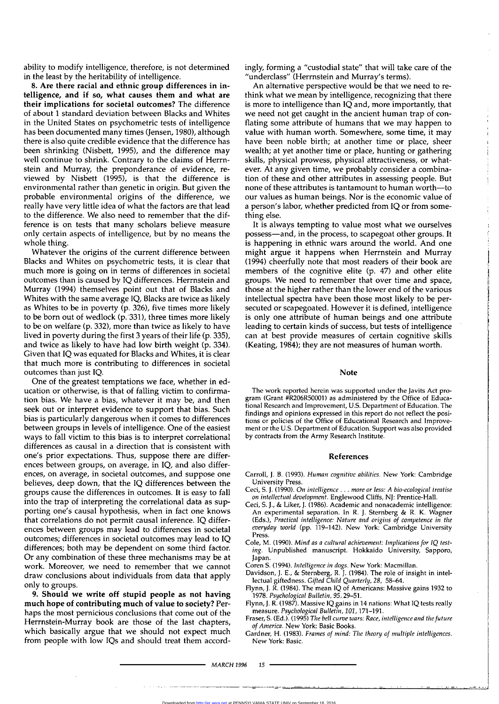ability to modify intelligence, therefore, is not determined in the least by the heritability of intelligence.

**8. Are there racial and ethnic group differences in intelligence, and if so, what causes them and what are their implications for societal outcomes?** The difference of about 1 standard deviation between Blacks and Whites in the United States on psychometric tests of intelligence has been documented many times (Jensen, 1980), although there is also quite credible evidence that the difference has been shrinking (Nisbett, 1995), and the difference may well continue to shrink. Contrary to the claims of Herrnstein and Murray, the preponderance of evidence, reviewed by Nisbett (1995), is that the difference is environmental rather than genetic in origin. But given the probable environmental origins of the difference, we really have very little idea of what the factors are that lead to the difference. We also need to remember that the difference is on tests that many scholars believe measure only certain aspects of intelligence, but by no means the whole thing.

Whatever the origins of the current difference between Blacks and Whites on psychometric tests, it is clear that much more is going on in terms of differences in societal outcomes than is caused by IQ differences. Herrnstein and Murray (1994) themselves point out that of Blacks and Whites with the same average IQ, Blacks are twice as likely as Whites to be in poverty (p. 326), five times more likely to be born out of wedlock (p. 331), three times more likely to be on welfare (p. 332), more than twice as likely to have lived in poverty during the first 3 years of their life (p. 335), and twice as likely to have had low birth weight (p. 334). Given that IQ was equated for Blacks and Whites, it is clear that much more is contributing to differences in societal outcomes than just IQ.

One of the greatest temptations we face, whether in education or otherwise, is that of falling victim to confirmation bias. We have a bias, whatever it may be, and then seek out or interpret evidence to support that bias. Such bias is particularly dangerous when it comes to differences between groups in levels of intelligence. One of the easiest ways to fall victim to this bias is to interpret correlational differences as causal in a direction that is consistent with one's prior expectations. Thus, suppose there are differences between groups, on average, in IQ, and also differences, on average, in societal outcomes, and suppose one believes, deep down, that the IQ differences between the groups cause the differences in outcomes. It is easy to fall into the trap of interpreting the correlational data as supporting one's causal hypothesis, when in fact one knows that correlations do not permit causal inference. IQ differences between groups may lead to differences in societal outcomes; differences in societal outcomes may lead to IQ differences; both may be dependent on some third factor. Or any combination of these three mechanisms may be at work. Moreover, we need to remember that we cannot draw conclusions about individuals from data that apply only to groups.

**9. Should we write off stupid people as not having much hope of contributing much of value to society?** Perhaps the most pernicious conclusions that come out of the Herrnstein-Murray book are those of the last chapters, which basically argue that we should not expect much from people with low IQs and should treat them accordingly, forming a "custodial state" that will take care of the "underclass" (Herrnstein and Murray's terms).

An alternative perspective would be that we need to rethink what we mean by intelligence, recognizing that there is more to intelligence than IQ and, more importantly, that we need not get caught in the ancient human trap of conflating some attribute of humans that we may happen to value with human worth. Somewhere, some time, it may have been noble birth; at another time or place, sheer wealth; at yet another time or place, hunting or gathering skills, physical prowess, physical attractiveness, or whatever. At any given time, we probably consider a combination of these and other attributes in assessing people. But none of these attributes is tantamount to human worth—to our values as human beings. Nor is the economic value of a person's labor, whether predicted from IQ or from something else.

It is always tempting to value most what we ourselves possess—and, in the process, to scapegoat other groups. It is happening in ethnic wars around the world. And one might argue it happens when Herrnstein and Murray (1994) cheerfully note that most readers of their book are members of the cognitive elite (p. 47) and other elite groups. We need to remember that over time and space, those at the higher rather than the lower end of the various intellectual spectra have been those most likely to be persecuted or scapegoated. However it is defined, intelligence is only one attribute of human beings and one attribute leading to certain kinds of success, but tests of intelligence can at best provide measures of certain cognitive skills (Keating, 1984); they are not measures of human worth.

#### **Note**

The work reported herein was supported under the Javits Act program (Grant #R206R50001) as administered by the Office of Educational Research and Improvement, U.S. Department of Education. The findings and opinions expressed in this report do not reflect the positions or policies of the Office of Educational Research and Improvement or the U.S. Department of Education. Support was also provided by contracts from the Army Research Institute.

#### **References**

- Carroll, J. B. (1993). *Human cognitive abilities.* New York: Cambridge University Press.
- Ceci, S. J. (1990). *On intelligence . . . more or less: A bio-ecological treatise on intellectual development.* Englewood Cliffs, NJ: Prentice-Hall.
- Ceci, S. J., & Liker, J. (1986). Academic and nonacademic intelligence: An experimental separation. In R. J. Sternberg & R. K. Wagner (Eds.), *Practical intelligence: Nature and origins of competence in the everyday world* (pp. 119-142). New York: Cambridge University **Press**
- Cole, M. (1990). *Mind as a cultural achievement: Implications for IQ testing.* Unpublished manuscript. Hokkaido University, Sapporo, Japan.
- Coren S. (1994). *Intelligence in dogs.* New York: Macmillan.
- Davidson, J. E., & Sternberg, R. J. (1984). The role of insight in intellectual giftedness. *Gifted Child Quarterly, 28,* 58-64.
- Flynn, J. R. (1984). The mean IQ of Americans: Massive gains 1932 to 1978. *Psychological Bulletin,* 95,29-51.
- Flynn, J. R. (1987). Massive IQ gains in 14 nations: What IQ tests really measure. *Psychological Bulletin, 101,*171-191.
- Fraser, S. (Ed.). (1995) *The bell curve ivars: Race, intelligence and the future of America.* New York: Basic Books.
- Gardner, H. (1983). *Frames of mind: The theory of multiple intelligences.*  New York: Basic.

*MARCH 1996 15*